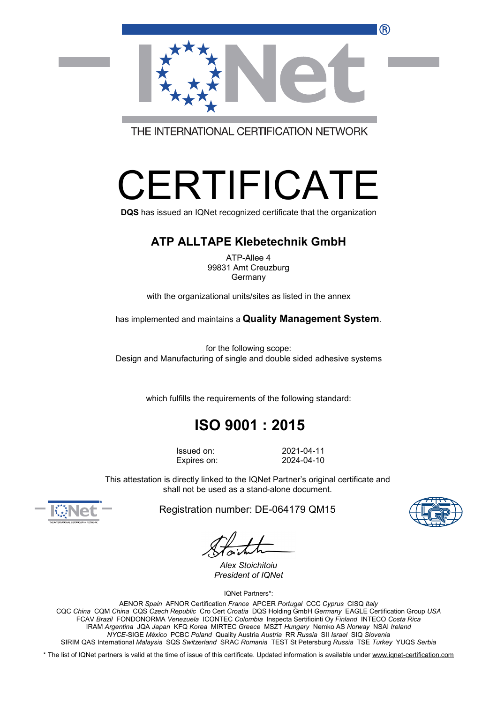R)



THE INTERNATIONAL CERTIFICATION NETWORK

# ERTIFICAT

**DQS** has issued an IQNet recognized certificate that the organization

#### **ATP ALLTAPE Klebetechnik GmbH**

ATP-Allee 4 99831 Amt Creuzburg Germany

with the organizational units/sites as listed in the annex

has implemented and maintains a **Quality Management System**.

for the following scope: Design and Manufacturing of single and double sided adhesive systems

which fulfills the requirements of the following standard:

## **ISO 9001 : 2015**

Issued on: 2021-04-11 Expires on: 2024-04-10

This attestation is directly linked to the IQNet Partner's original certificate and shall not be used as a stand-alone document.



Registration number: DE-064179 QM15

*Alex Stoichitoiu President of IQNet*

IQNet Partners\*:

AENOR *Spain* AFNOR Certification *France* APCER *Portugal* CCC *Cyprus* CISQ *Italy* CQC *China* CQM *China* CQS *Czech Republic* Cro Cert *Croatia* DQS Holding GmbH *Germany* EAGLE Certification Group *USA* FCAV *Brazil* FONDONORMA *Venezuela* ICONTEC *Colombia* Inspecta Sertifiointi Oy *Finland* INTECO *Costa Rica* IRAM *Argentina* JQA *Japan* KFQ *Korea* MIRTEC *Greece* MSZT *Hungary* Nemko AS *Norway* NSAI *Ireland NYCE-*SIGE *México* PCBC *Poland* Quality Austria *Austria* RR *Russia* SII *Israel* SIQ *Slovenia* SIRIM QAS International *Malaysia* SQS *Switzerland* SRAC *Romania* TEST St Petersburg *Russia* TSE *Turkey* YUQS *Serbia*

\* The list of IQNet partners is valid at the time of issue of this certificate. Updated information is available under [www.iqnet-certification.com](http://www.iqnet-certification.com)